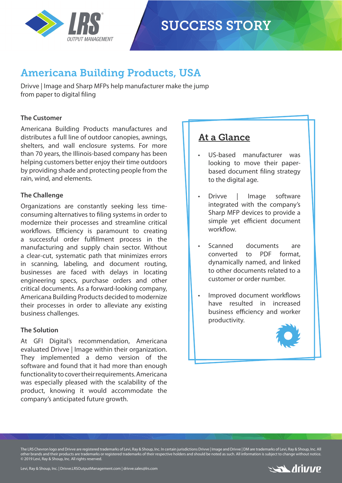

## Americana Building Products, USA

Drivve | Image and Sharp MFPs help manufacturer make the jump from paper to digital filing

### **The Customer**

Americana Building Products manufactures and distributes a full line of outdoor canopies, awnings, shelters, and wall enclosure systems. For more than 70 years, the Illinois-based company has been helping customers better enjoy their time outdoors by providing shade and protecting people from the rain, wind, and elements.

## **The Challenge**

Organizations are constantly seeking less timeconsuming alternatives to filing systems in order to modernize their processes and streamline critical workflows. Efficiency is paramount to creating a successful order fulfillment process in the manufacturing and supply chain sector. Without a clear-cut, systematic path that minimizes errors in scanning, labeling, and document routing, businesses are faced with delays in locating engineering specs, purchase orders and other critical documents. As a forward-looking company, Americana Building Products decided to modernize their processes in order to alleviate any existing business challenges.

#### **The Solution**

At GFI Digital's recommendation, Americana evaluated Drivve | Image within their organization. They implemented a demo version of the software and found that it had more than enough functionality to cover their requirements. Americana was especially pleased with the scalability of the product, knowing it would accommodate the company's anticipated future growth.

## At a Glance

- US-based manufacturer was looking to move their paperbased document filing strategy to the digital age.
- Drivve | Image software integrated with the company's Sharp MFP devices to provide a simple yet efficient document workflow
- Scanned documents are converted to PDF format, dynamically named, and linked to other documents related to a customer or order number.
- Improved document workflows have resulted in increased business efficiency and worker productivity.



The LRS Chevron logo and Drivve are registered trademarks of Levi, Ray & Shoup, Inc. In certain jurisdictions Drivve | Image and Drivve | DM are trademarks of Levi, Ray & Shoup, Inc. All other brands and their products are trademarks or registered trademarks of their respective holders and should be noted as such. All information is subject to change without notice. © 2019 Levi, Ray & Shoup, Inc. All rights reserved.